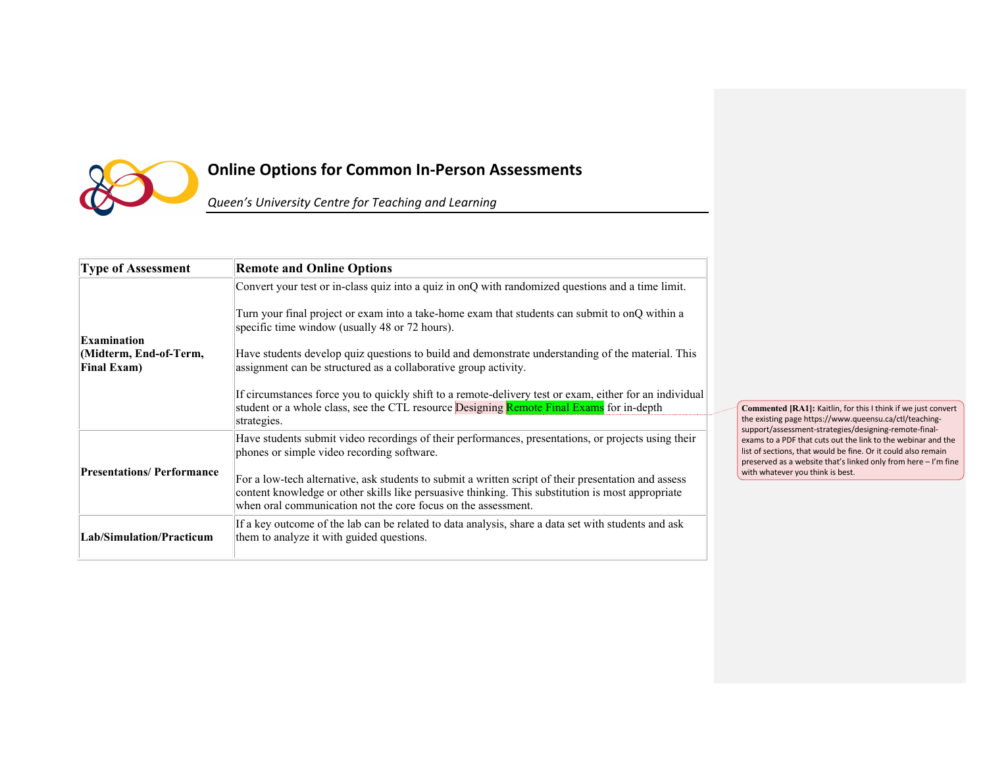

## **Online Options for Common In-Person Assessments**

*Queen's University Centre for Teaching and Learning*

| <b>Type of Assessment</b>                    | <b>Remote and Online Options</b>                                                                                                                                                                                                                                           |
|----------------------------------------------|----------------------------------------------------------------------------------------------------------------------------------------------------------------------------------------------------------------------------------------------------------------------------|
|                                              | Convert your test or in-class quiz into a quiz in onQ with randomized questions and a time limit.                                                                                                                                                                          |
| <b>Examination</b>                           | Turn your final project or exam into a take-home exam that students can submit to onQ within a<br>specific time window (usually 48 or 72 hours).                                                                                                                           |
| Midterm, End-of-Term,<br><b>Final Exam</b> ) | Have students develop quiz questions to build and demonstrate understanding of the material. This<br>assignment can be structured as a collaborative group activity.                                                                                                       |
|                                              | If circumstances force you to quickly shift to a remote-delivery test or exam, either for an individual<br>student or a whole class, see the CTL resource <b>Designing Remote Final Exams</b> for in-depth<br>strategies.                                                  |
|                                              | Have students submit video recordings of their performances, presentations, or projects using their<br>phones or simple video recording software.                                                                                                                          |
| <b>Presentations/Performance</b>             | For a low-tech alternative, ask students to submit a written script of their presentation and assess<br>content knowledge or other skills like persuasive thinking. This substitution is most appropriate<br>when oral communication not the core focus on the assessment. |
| Lab/Simulation/Practicum                     | If a key outcome of the lab can be related to data analysis, share a data set with students and ask<br>them to analyze it with guided questions.                                                                                                                           |

**Commented [RA1]:** Kaitlin, for this I think if we just convert the existing page https://www.queensu.ca/ctl/teachingsupport/assessment-strategies/designing-remote-finalexams to a PDF that cuts out the link to the webinar and the list of sections, that would be fine. Or it could also remain preserved as a website that's linked only from here – I'm fine with whatever you think is best.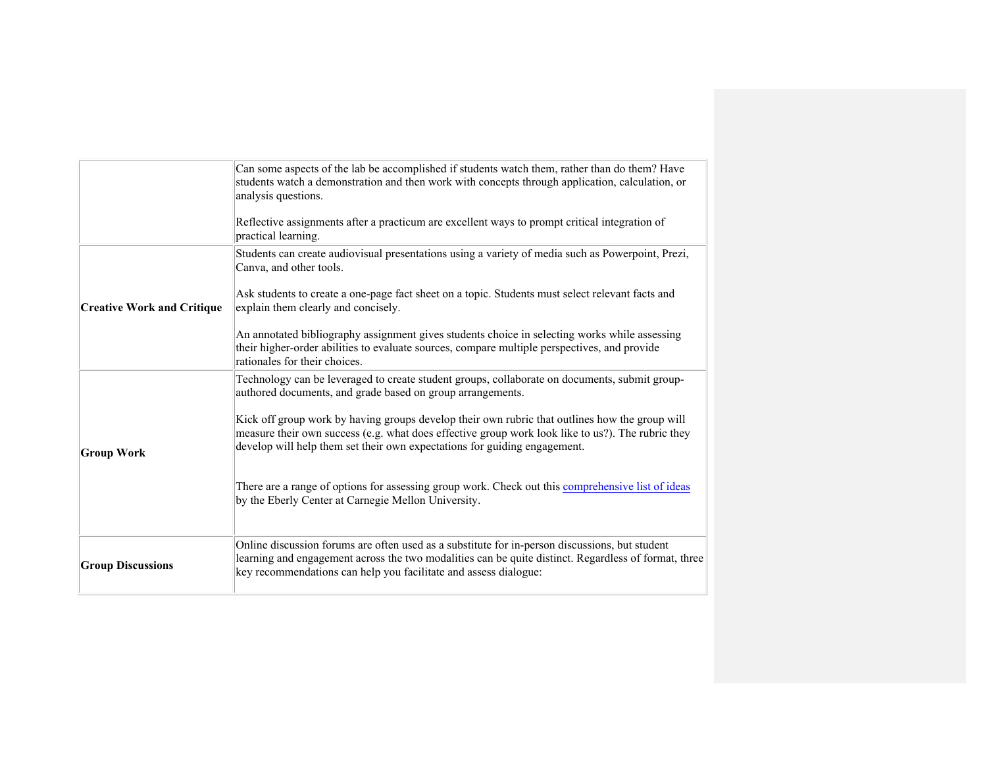|                                   | Can some aspects of the lab be accomplished if students watch them, rather than do them? Have<br>students watch a demonstration and then work with concepts through application, calculation, or<br>analysis questions.<br>Reflective assignments after a practicum are excellent ways to prompt critical integration of<br>practical learning. |
|-----------------------------------|-------------------------------------------------------------------------------------------------------------------------------------------------------------------------------------------------------------------------------------------------------------------------------------------------------------------------------------------------|
|                                   | Students can create audiovisual presentations using a variety of media such as Powerpoint, Prezi,<br>Canva, and other tools.                                                                                                                                                                                                                    |
| <b>Creative Work and Critique</b> | Ask students to create a one-page fact sheet on a topic. Students must select relevant facts and<br>explain them clearly and concisely.                                                                                                                                                                                                         |
|                                   | An annotated bibliography assignment gives students choice in selecting works while assessing<br>their higher-order abilities to evaluate sources, compare multiple perspectives, and provide<br>rationales for their choices.                                                                                                                  |
|                                   | Technology can be leveraged to create student groups, collaborate on documents, submit group-<br>authored documents, and grade based on group arrangements.                                                                                                                                                                                     |
| <b>Group Work</b>                 | Kick off group work by having groups develop their own rubric that outlines how the group will<br>measure their own success (e.g. what does effective group work look like to us?). The rubric they<br>develop will help them set their own expectations for guiding engagement.                                                                |
|                                   | There are a range of options for assessing group work. Check out this comprehensive list of ideas<br>by the Eberly Center at Carnegie Mellon University.                                                                                                                                                                                        |
| <b>Group Discussions</b>          | Online discussion forums are often used as a substitute for in-person discussions, but student<br>learning and engagement across the two modalities can be quite distinct. Regardless of format, three<br>key recommendations can help you facilitate and assess dialogue:                                                                      |